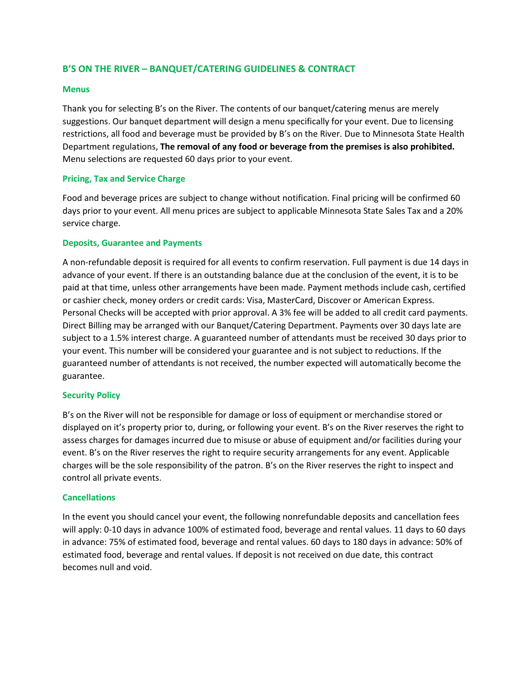# **B'S ON THE RIVER – BANQUET/CATERING GUIDELINES & CONTRACT**

#### **Menus**

Thank you for selecting B's on the River. The contents of our banquet/catering menus are merely suggestions. Our banquet department will design a menu specifically for your event. Due to licensing restrictions, all food and beverage must be provided by B's on the River. Due to Minnesota State Health Department regulations, **The removal of any food or beverage from the premises is also prohibited.**  Menu selections are requested 60 days prior to your event.

## **Pricing, Tax and Service Charge**

Food and beverage prices are subject to change without notification. Final pricing will be confirmed 60 days prior to your event. All menu prices are subject to applicable Minnesota State Sales Tax and a 20% service charge.

### **Deposits, Guarantee and Payments**

A non-refundable deposit is required for all events to confirm reservation. Full payment is due 14 days in advance of your event. If there is an outstanding balance due at the conclusion of the event, it is to be paid at that time, unless other arrangements have been made. Payment methods include cash, certified or cashier check, money orders or credit cards: Visa, MasterCard, Discover or American Express. Personal Checks will be accepted with prior approval. A 3% fee will be added to all credit card payments. Direct Billing may be arranged with our Banquet/Catering Department. Payments over 30 days late are subject to a 1.5% interest charge. A guaranteed number of attendants must be received 30 days prior to your event. This number will be considered your guarantee and is not subject to reductions. If the guaranteed number of attendants is not received, the number expected will automatically become the guarantee.

#### **Security Policy**

B's on the River will not be responsible for damage or loss of equipment or merchandise stored or displayed on it's property prior to, during, or following your event. B's on the River reserves the right to assess charges for damages incurred due to misuse or abuse of equipment and/or facilities during your event. B's on the River reserves the right to require security arrangements for any event. Applicable charges will be the sole responsibility of the patron. B's on the River reserves the right to inspect and control all private events.

#### **Cancellations**

In the event you should cancel your event, the following nonrefundable deposits and cancellation fees will apply: 0-10 days in advance 100% of estimated food, beverage and rental values. 11 days to 60 days in advance: 75% of estimated food, beverage and rental values. 60 days to 180 days in advance: 50% of estimated food, beverage and rental values. If deposit is not received on due date, this contract becomes null and void.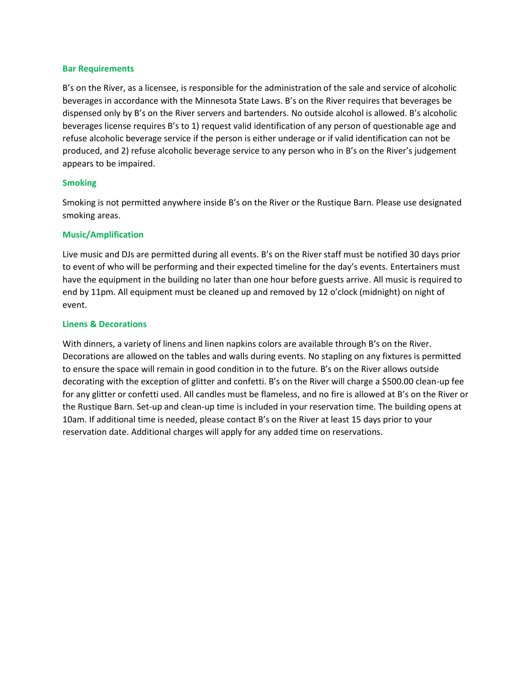#### **Bar Requirements**

B's on the River, as a licensee, is responsible for the administration of the sale and service of alcoholic beverages in accordance with the Minnesota State Laws. B's on the River requires that beverages be dispensed only by B's on the River servers and bartenders. No outside alcohol is allowed. B's alcoholic beverages license requires B's to 1) request valid identification of any person of questionable age and refuse alcoholic beverage service if the person is either underage or if valid identification can not be produced, and 2) refuse alcoholic beverage service to any person who in B's on the River's judgement appears to be impaired.

#### **Smoking**

Smoking is not permitted anywhere inside B's on the River or the Rustique Barn. Please use designated smoking areas.

#### **Music/Amplification**

Live music and DJs are permitted during all events. B's on the River staff must be notified 30 days prior to event of who will be performing and their expected timeline for the day's events. Entertainers must have the equipment in the building no later than one hour before guests arrive. All music is required to end by 11pm. All equipment must be cleaned up and removed by 12 o'clock (midnight) on night of event.

#### **Linens & Decorations**

With dinners, a variety of linens and linen napkins colors are available through B's on the River. Decorations are allowed on the tables and walls during events. No stapling on any fixtures is permitted to ensure the space will remain in good condition in to the future. B's on the River allows outside decorating with the exception of glitter and confetti. B's on the River will charge a \$500.00 clean-up fee for any glitter or confetti used. All candles must be flameless, and no fire is allowed at B's on the River or the Rustique Barn. Set-up and clean-up time is included in your reservation time. The building opens at 10am. If additional time is needed, please contact B's on the River at least 15 days prior to your reservation date. Additional charges will apply for any added time on reservations.